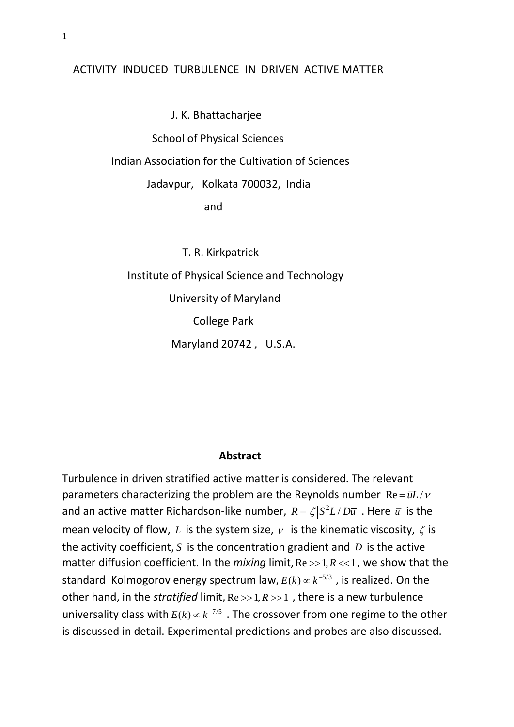## ACTIVITY INDUCED TURBULENCE IN DRIVEN ACTIVE MATTER

 J. K. Bhattacharjee School of Physical Sciences Indian Association for the Cultivation of Sciences Jadavpur, Kolkata 700032, India and the control of the control of the control of the control of the control of the control of the control of t

> T. R. Kirkpatrick Institute of Physical Science and Technology University of Maryland College Park Maryland 20742 , U.S.A.

## **Abstract**

Turbulence in driven stratified active matter is considered. The relevant parameters characterizing the problem are the Reynolds number  $\text{Re} = \bar{u}L/v$ and an active matter Richardson-like number,  $R = |\zeta|S^2L/D\overline{u}$  . Here  $\overline{u}$  is the mean velocity of flow, L is the system size,  $\nu$  is the kinematic viscosity,  $\zeta$  is the activity coefficient,  $S$  is the concentration gradient and  $D$  is the active matter diffusion coefficient. In the *mixing* limit,  $Re \gg 1, R \ll 1$ , we show that the standard Kolmogorov energy spectrum law,  $E(k) \propto k^{-5/3}$  , is realized. On the other hand, in the *stratified* limit,  $Re \gg 1, R \gg 1$ , there is a new turbulence universality class with  $E(k) \propto k^{-7/5}$  . The crossover from one regime to the other is discussed in detail. Experimental predictions and probes are also discussed.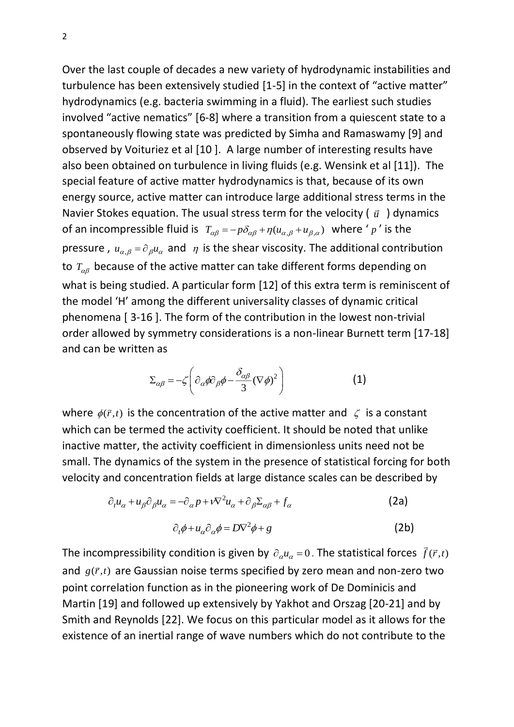Over the last couple of decades a new variety of hydrodynamic instabilities and turbulence has been extensively studied [1-5] in the context of "active matter" hydrodynamics (e.g. bacteria swimming in a fluid). The earliest such studies involved "active nematics" [6-8] where a transition from a quiescent state to a spontaneously flowing state was predicted by Simha and Ramaswamy [9] and observed by Voituriez et al [10 ]. A large number of interesting results have also been obtained on turbulence in living fluids (e.g. Wensink et al [11]). The special feature of active matter hydrodynamics is that, because of its own energy source, active matter can introduce large additional stress terms in the Navier Stokes equation. The usual stress term for the velocity  $(\vec{u})$  dynamics of an incompressible fluid is  $T_{\alpha\beta} = -p\delta_{\alpha\beta} + \eta(u_{\alpha,\beta} + u_{\beta,\alpha})$  where 'p' is the pressure,  $u_{\alpha,\beta} = \partial_{\beta} u_{\alpha}$  and  $\eta$  is the shear viscosity. The additional contribution to  $T_{\alpha\beta}$  because of the active matter can take different forms depending on what is being studied. A particular form [12] of this extra term is reminiscent of the model 'H' among the different universality classes of dynamic critical phenomena [ 3-16 ]. The form of the contribution in the lowest non-trivial order allowed by symmetry considerations is a non-linear Burnett term [17-18] and can be written as

$$
\Sigma_{\alpha\beta} = -\zeta \left( \partial_{\alpha} \phi \partial_{\beta} \phi - \frac{\delta_{\alpha\beta}}{3} (\nabla \phi)^2 \right)
$$
 (1)

where  $\phi(\vec{r},t)$  is the concentration of the active matter and  $\zeta$  is a constant which can be termed the activity coefficient. It should be noted that unlike inactive matter, the activity coefficient in dimensionless units need not be small. The dynamics of the system in the presence of statistical forcing for both velocity and concentration fields at large distance scales can be described by

$$
\partial_t u_{\alpha} + u_{\beta} \partial_{\beta} u_{\alpha} = -\partial_{\alpha} p + v \nabla^2 u_{\alpha} + \partial_{\beta} \Sigma_{\alpha \beta} + f_{\alpha} \tag{2a}
$$

$$
\partial_t \phi + u_\alpha \partial_\alpha \phi = D \nabla^2 \phi + g \tag{2b}
$$

The incompressibility condition is given by  $\partial_{\alpha} u_{\alpha} = 0$  . The statistical forces  $\vec{f}(\vec{r},t)$ and  $g(\vec{r},t)$  are Gaussian noise terms specified by zero mean and non-zero two point correlation function as in the pioneering work of De Dominicis and Martin [19] and followed up extensively by Yakhot and Orszag [20-21] and by Smith and Reynolds [22]. We focus on this particular model as it allows for the existence of an inertial range of wave numbers which do not contribute to the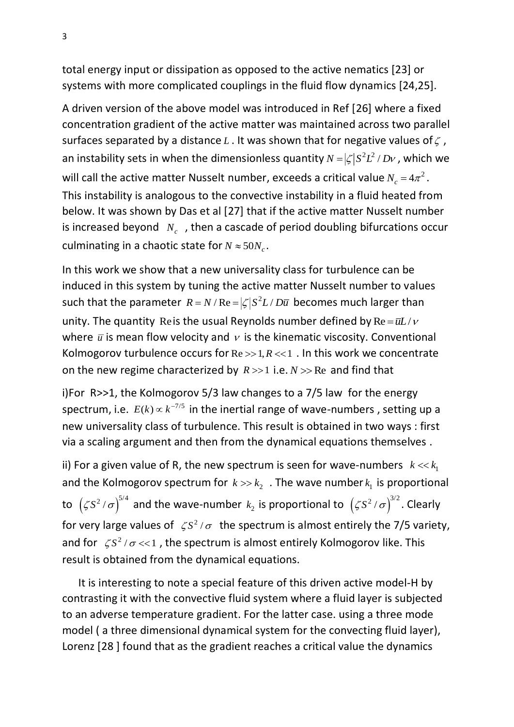total energy input or dissipation as opposed to the active nematics [23] or systems with more complicated couplings in the fluid flow dynamics [24,25].

A driven version of the above model was introduced in Ref [26] where a fixed concentration gradient of the active matter was maintained across two parallel surfaces separated by a distance L . It was shown that for negative values of  $\zeta$  , an instability sets in when the dimensionless quantity  $N = |\zeta|S^2L^2/Dv$  , which we will call the active matter Nusselt number, exceeds a critical value  $N_c = 4\pi^2$ . This instability is analogous to the convective instability in a fluid heated from below. It was shown by Das et al [27] that if the active matter Nusselt number is increased beyond  $N_c$ , then a cascade of period doubling bifurcations occur culminating in a chaotic state for  $N \approx 50 N_c$ .

In this work we show that a new universality class for turbulence can be induced in this system by tuning the active matter Nusselt number to values such that the parameter  $R = N / Re = |\zeta| S^2 L / D \overline{u}$  becomes much larger than unity. The quantity Reis the usual Reynolds number defined by  $\text{Re} = \bar{u}L/v$ where  $\bar{u}$  is mean flow velocity and  $\nu$  is the kinematic viscosity. Conventional Kolmogorov turbulence occurs for  $Re \gg 1, R \ll 1$ . In this work we concentrate on the new regime characterized by  $R \gg 1$  i.e.  $N \gg Re$  and find that

i)For R>>1, the Kolmogorov 5/3 law changes to a 7/5 law for the energy spectrum, i.e.  $E(k) \propto k^{-7/5}$  in the inertial range of wave-numbers, setting up a new universality class of turbulence. This result is obtained in two ways : first via a scaling argument and then from the dynamical equations themselves .

ii) For a given value of R, the new spectrum is seen for wave-numbers  $k \ll k_1$ and the Kolmogorov spectrum for  $k \gg k_2$ . The wave number  $k_1$  is proportional to  $({\zeta}S^2/\sigma)^{5/4}$  and the wave-number  $k_2$  is proportional to  $({\zeta}S^2/\sigma)^{3/2}$ . Clearly for very large values of  $\zeta S^2/\sigma$  the spectrum is almost entirely the 7/5 variety, and for  $\zeta S^2/\sigma \ll 1$ , the spectrum is almost entirely Kolmogorov like. This result is obtained from the dynamical equations.

 It is interesting to note a special feature of this driven active model-H by contrasting it with the convective fluid system where a fluid layer is subjected to an adverse temperature gradient. For the latter case. using a three mode model ( a three dimensional dynamical system for the convecting fluid layer), Lorenz [28 ] found that as the gradient reaches a critical value the dynamics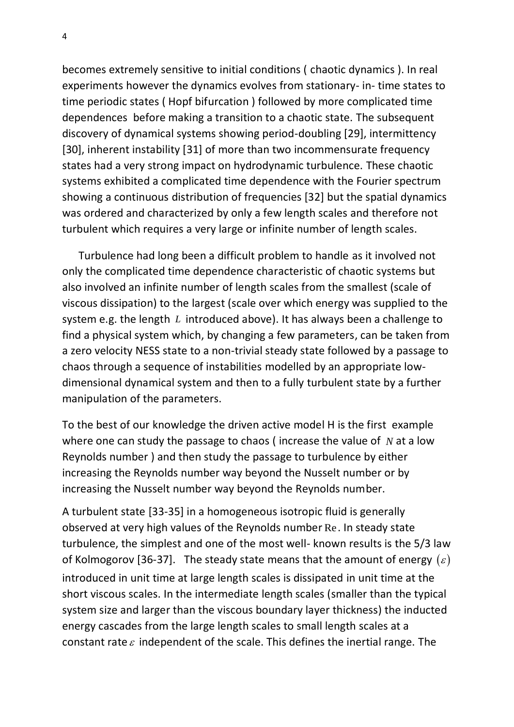becomes extremely sensitive to initial conditions ( chaotic dynamics ). In real experiments however the dynamics evolves from stationary- in- time states to time periodic states ( Hopf bifurcation ) followed by more complicated time dependences before making a transition to a chaotic state. The subsequent discovery of dynamical systems showing period-doubling [29], intermittency [30], inherent instability [31] of more than two incommensurate frequency states had a very strong impact on hydrodynamic turbulence. These chaotic systems exhibited a complicated time dependence with the Fourier spectrum showing a continuous distribution of frequencies [32] but the spatial dynamics was ordered and characterized by only a few length scales and therefore not turbulent which requires a very large or infinite number of length scales.

 Turbulence had long been a difficult problem to handle as it involved not only the complicated time dependence characteristic of chaotic systems but also involved an infinite number of length scales from the smallest (scale of viscous dissipation) to the largest (scale over which energy was supplied to the system e.g. the length L introduced above). It has always been a challenge to find a physical system which, by changing a few parameters, can be taken from a zero velocity NESS state to a non-trivial steady state followed by a passage to chaos through a sequence of instabilities modelled by an appropriate lowdimensional dynamical system and then to a fully turbulent state by a further manipulation of the parameters.

To the best of our knowledge the driven active model H is the first example where one can study the passage to chaos (increase the value of  $N$  at a low Reynolds number ) and then study the passage to turbulence by either increasing the Reynolds number way beyond the Nusselt number or by increasing the Nusselt number way beyond the Reynolds number.

A turbulent state [33-35] in a homogeneous isotropic fluid is generally observed at very high values of the Reynolds number Re . In steady state turbulence, the simplest and one of the most well- known results is the 5/3 law of Kolmogorov [36-37]. The steady state means that the amount of energy  $(\varepsilon)$ introduced in unit time at large length scales is dissipated in unit time at the short viscous scales. In the intermediate length scales (smaller than the typical system size and larger than the viscous boundary layer thickness) the inducted energy cascades from the large length scales to small length scales at a constant rate  $\varepsilon$  independent of the scale. This defines the inertial range. The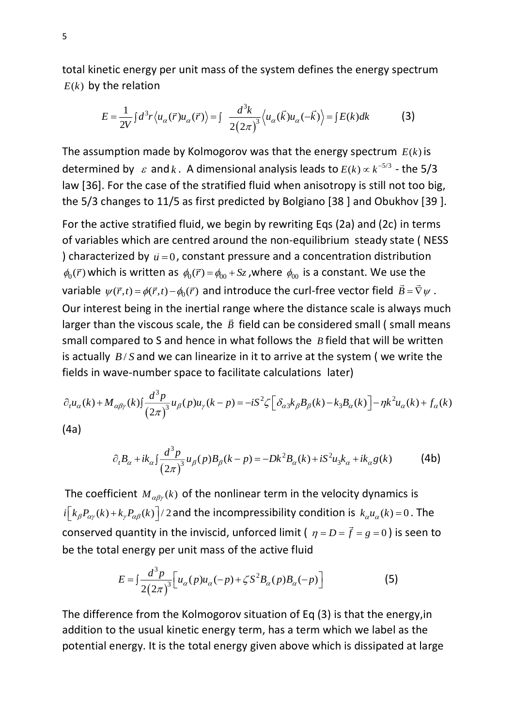total kinetic energy per unit mass of the system defines the energy spectrum  $E(k)$  by the relation

$$
E = \frac{1}{2V} \int d^3r \langle u_\alpha(\vec{r}) u_\alpha(\vec{r}) \rangle = \int \frac{d^3k}{2(2\pi)^3} \langle u_\alpha(\vec{k}) u_\alpha(-\vec{k}) \rangle = \int E(k)dk \tag{3}
$$

The assumption made by Kolmogorov was that the energy spectrum  $E(k)$  is determined by  $\varepsilon$  and  $k$ . A dimensional analysis leads to  $E(k) \propto k^{-5/3}$  - the 5/3 law [36]. For the case of the stratified fluid when anisotropy is still not too big, the 5/3 changes to 11/5 as first predicted by Bolgiano [38 ] and Obukhov [39 ].

For the active stratified fluid, we begin by rewriting Eqs (2a) and (2c) in terms of variables which are centred around the non-equilibrium steady state ( NESS ) characterized by  $\vec{u} = 0$ , constant pressure and a concentration distribution  $\phi_0(\vec{r})$  which is written as  $\phi_0(\vec{r}) = \phi_{00} + Sz$ , where  $\phi_{00}$  is a constant. We use the variable  $\psi(\vec{r},t) = \phi(\vec{r},t) - \phi_0(\vec{r})$  and introduce the curl-free vector field  $\vec{B} = \vec{\nabla}\psi$ . Our interest being in the inertial range where the distance scale is always much larger than the viscous scale, the  $\vec{B}$  field can be considered small (small means small compared to S and hence in what follows the *B* field that will be written is actually  $B/S$  and we can linearize in it to arrive at the system (we write the fields in wave-number space to facilitate calculations later)

$$
\partial_t u_\alpha(k) + M_{\alpha\beta\gamma}(k) \int \frac{d^3 p}{(2\pi)^3} u_\beta(p) u_\gamma(k-p) = -iS^2 \zeta \Big[ \delta_{\alpha 3} k_\beta B_\beta(k) - k_3 B_\alpha(k) \Big] - \eta k^2 u_\alpha(k) + f_\alpha(k)
$$
\n(4a)

$$
\partial_t B_{\alpha} + ik_{\alpha} \int \frac{d^3 p}{(2\pi)^3} u_{\beta}(p) B_{\beta}(k-p) = -Dk^2 B_{\alpha}(k) + iS^2 u_3 k_{\alpha} + ik_{\alpha} g(k)
$$
 (4b)

The coefficient  $M_{\alpha\beta\gamma}(k)$  of the nonlinear term in the velocity dynamics is  $i\left[k_{\beta}P_{\alpha\gamma}(k)+k_{\gamma}P_{\alpha\beta}(k)\right]/2$  and the incompressibility condition is  $k_{\alpha}u_{\alpha}(k)=0$ . The conserved quantity in the inviscid, unforced limit (  $\eta = D = \vec{f} = g = 0$  ) is seen to be the total energy per unit mass of the active fluid

$$
E = \int \frac{d^3 p}{2(2\pi)^3} \Big[ u_\alpha(p) u_\alpha(-p) + \zeta S^2 B_\alpha(p) B_\alpha(-p) \Big] \tag{5}
$$

The difference from the Kolmogorov situation of Eq (3) is that the energy,in addition to the usual kinetic energy term, has a term which we label as the potential energy. It is the total energy given above which is dissipated at large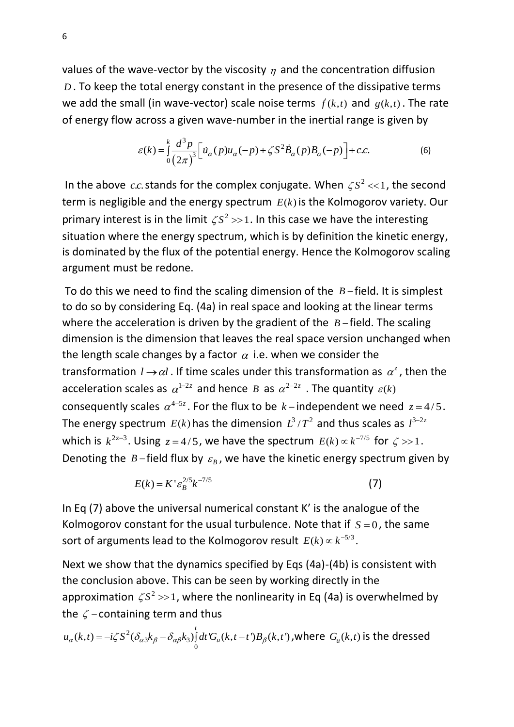values of the wave-vector by the viscosity  $\eta$  and the concentration diffusion *<sup>D</sup>* . To keep the total energy constant in the presence of the dissipative terms we add the small (in wave-vector) scale noise terms  $\vec{f}(k,t)$  and  $g(k,t)$ . The rate of energy flow across a given wave-number in the inertial range is given by

$$
\varepsilon(k) = \int_0^k \frac{d^3 p}{(2\pi)^3} \Big[ \dot{u}_\alpha(p) u_\alpha(-p) + \zeta S^2 \dot{B}_\alpha(p) B_\alpha(-p) \Big] + c.c.
$$
 (6)

In the above  $cc$  stands for the complex conjugate. When  $\zeta S^2 \ll 1$ , the second term is negligible and the energy spectrum  $E(k)$  is the Kolmogorov variety. Our primary interest is in the limit  $\zeta S^2 \gg 1$ . In this case we have the interesting situation where the energy spectrum, which is by definition the kinetic energy, is dominated by the flux of the potential energy. Hence the Kolmogorov scaling argument must be redone.

To do this we need to find the scaling dimension of the  $B-$ field. It is simplest to do so by considering Eq. (4a) in real space and looking at the linear terms where the acceleration is driven by the gradient of the  $B$ -field. The scaling dimension is the dimension that leaves the real space version unchanged when the length scale changes by a factor  $\alpha$  i.e. when we consider the transformation  $l \rightarrow \alpha l$ . If time scales under this transformation as  $\alpha^z$ , then the acceleration scales as  $\alpha^{1-2z}$  and hence B as  $\alpha^{2-2z}$  . The quantity  $\varepsilon(k)$ consequently scales  $\alpha^{4-5z}$ . For the flux to be  $k-$  independent we need  $z=4/5$ . The energy spectrum  $E(k)$  has the dimension  $L^3/T^2$  and thus scales as  $l^{3-2z}$ which is  $k^{2z-3}$ . Using  $z = 4/5$ , we have the spectrum  $E(k) \propto k^{-7/5}$  for  $\zeta >> 1$ . Denoting the  $B$ -field flux by  $\varepsilon_B$ , we have the kinetic energy spectrum given by

$$
E(k) = K^{\prime} \varepsilon_B^{2/5} k^{-7/5}
$$
 (7)

In Eq (7) above the universal numerical constant K' is the analogue of the Kolmogorov constant for the usual turbulence. Note that if  $S = 0$ , the same sort of arguments lead to the Kolmogorov result  $E(k) \propto k^{-5/3}$ .

Next we show that the dynamics specified by Eqs (4a)-(4b) is consistent with the conclusion above. This can be seen by working directly in the approximation  $\zeta S^2 >> 1$ , where the nonlinearity in Eq (4a) is overwhelmed by the  $\zeta$  -containing term and thus

$$
u_{\alpha}(k,t) = -i\zeta S^2 (\delta_{\alpha 3} k_{\beta} - \delta_{\alpha \beta} k_3) \int_0^t dt' G_u(k,t-t')B_{\beta}(k,t')\text{ ,where } G_u(k,t) \text{ is the dressed}
$$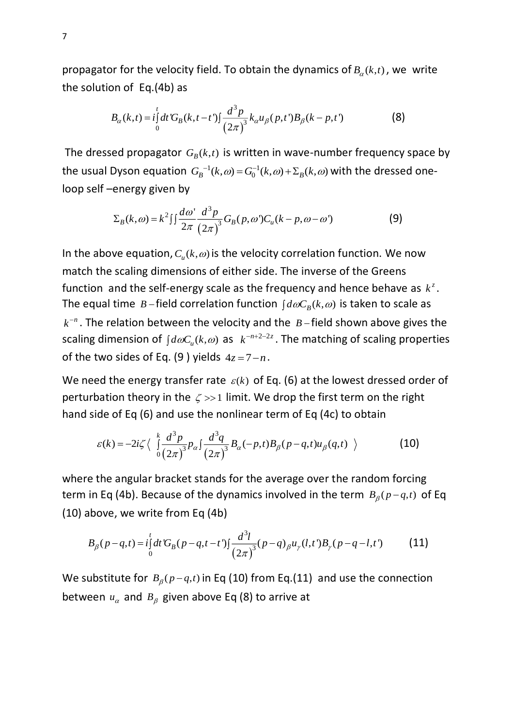propagator for the velocity field. To obtain the dynamics of  $B_{\alpha}(k,t)$ , we write the solution of Eq.(4b) as

$$
B_{\alpha}(k,t) = i \int_{0}^{t} dt' G_{\beta}(k,t-t') \int \frac{d^{3}p}{(2\pi)^{3}} k_{\alpha} u_{\beta}(p,t') B_{\beta}(k-p,t')
$$
 (8)

The dressed propagator  $G_B(k,t)$  is written in wave-number frequency space by the usual Dyson equation  $G_B^{-1}(k, \omega) = G_0^{-1}(k, \omega) + \Sigma_B(k, \omega)$  with the dressed oneloop self –energy given by

energy given by  
\n
$$
\sum_{B}(k,\omega) = k^2 \iint \frac{d\omega}{2\pi} \frac{d^3 p}{(2\pi)^3} G_B(p,\omega') C_u(k-p,\omega-\omega')
$$
\n(9)

In the above equation,  $C_u(k, \omega)$  is the velocity correlation function. We now match the scaling dimensions of either side. The inverse of the Greens function and the self-energy scale as the frequency and hence behave as  $k^z$ . The equal time  $B$ -field correlation function  $\int d\omega C_B(k,\omega)$  is taken to scale as  $k^{-n}$ . The relation between the velocity and the  $B$ -field shown above gives the scaling dimension of  $\int d\omega C_u(k,\omega)$  as  $k^{-n+2-2z}$ . The matching of scaling properties of the two sides of Eq. (9) yields  $4z = 7 - n$ .

We need the energy transfer rate  $\varepsilon(k)$  of Eq. (6) at the lowest dressed order of perturbation theory in the  $\zeta >> 1$  limit. We drop the first term on the right hand side of Eq (6) and use the nonlinear term of Eq (4c) to obtain

$$
\varepsilon(k) = -2i\zeta \left\langle \int_0^k \frac{d^3p}{(2\pi)^3} p_\alpha \int \frac{d^3q}{(2\pi)^3} B_\alpha(-p,t) B_\beta(p-q,t) u_\beta(q,t) \right\rangle
$$
 (10)

where the angular bracket stands for the average over the random forcing term in Eq (4b). Because of the dynamics involved in the term  $B_\beta(p-q,t)$  of Eq (10) above, we write from Eq (4b)

above, we write from Eq (4b)  
\n
$$
B_{\beta}(p-q,t) = i \int_{0}^{t} dt \, G_{\beta}(p-q,t-t') \int \frac{d^{3}l}{(2\pi)^{3}} (p-q)_{\beta} u_{\gamma}(l,t') B_{\gamma}(p-q-l,t')
$$
\n(11)

We substitute for  $B_\beta(p-q,t)$  in Eq (10) from Eq.(11) and use the connection between  $u_\alpha$  and  $B_\beta$  given above Eq (8) to arrive at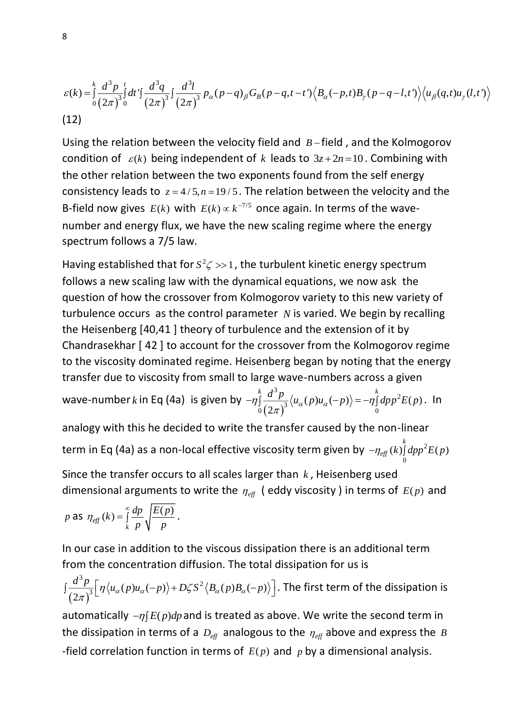$$
\varepsilon(k) = \int_{0}^{k} \frac{d^{3}p}{(2\pi)^{3}} \int_{0}^{t} dt' \int \frac{d^{3}q}{(2\pi)^{3}} \int \frac{d^{3}l}{(2\pi)^{3}} p_{\alpha}(p-q)_{\beta} G_{\beta}(p-q,t-t') \langle B_{\alpha}(-p,t)B_{\gamma}(p-q-l,t') \rangle \langle u_{\beta}(q,t)u_{\gamma}(l,t') \rangle
$$
\n(12)

Using the relation between the velocity field and  $B$ -field, and the Kolmogorov condition of  $\varepsilon(k)$  being independent of k leads to  $3z+2n=10$ . Combining with the other relation between the two exponents found from the self energy consistency leads to  $z = 4/5$ ,  $n = 19/5$ . The relation between the velocity and the B-field now gives  $E(k)$  with  $E(k) \propto k^{-7/5}$  once again. In terms of the wavenumber and energy flux, we have the new scaling regime where the energy spectrum follows a 7/5 law.

Having established that for  $S^2 \zeta >> 1$ , the turbulent kinetic energy spectrum follows a new scaling law with the dynamical equations, we now ask the question of how the crossover from Kolmogorov variety to this new variety of turbulence occurs as the control parameter  $N$  is varied. We begin by recalling the Heisenberg [40,41 ] theory of turbulence and the extension of it by Chandrasekhar [ 42 ] to account for the crossover from the Kolmogorov regime to the viscosity dominated regime. Heisenberg began by noting that the energy transfer due to viscosity from small to large wave-numbers across a given wave-number  $k$  in Eq (4a) is given by  $(2\pi)$  $\bigg\{\begin{array}{ccc} 3 & k & 2 \\ 2 & 2 & k \end{array}\bigg\}$  $\int_{0}^{1} (2\pi)^{3} \sqrt{\alpha} \sqrt{P/\alpha} \sqrt{P}$  $(p)u_{\alpha}(-p)\rangle = -\eta \left( dp p^2 E(p) \right)$ 2  $\eta \int_{0}^{k} \frac{d^{3} p}{\sqrt{m^{3}}} \langle u_{\alpha}(p) u_{\alpha}(-p) \rangle = -\eta \int_{0}^{k} dp p^{2} E(p)$  $\pi$  $-\eta \int \frac{d^2 p}{\sqrt{1-\lambda^2}} \langle u_{\alpha}(p) u_{\alpha}(-p) \rangle = -\eta \int dp p^2 E(p)$ . In analogy with this he decided to write the transfer caused by the non-linear

term in Eq (4a) as a non-local effective viscosity term given by 
$$
-\eta_{\text{eff}}(k)\int_0^k dp p^2 E(p)
$$

Since the transfer occurs to all scales larger than *k* , Heisenberg used dimensional arguments to write the  $\eta_{\text{eff}}$  (eddy viscosity) in terms of  $E(p)$  and

$$
p \text{ as } \eta_{\text{eff}}(k) = \int_{k}^{\infty} \frac{dp}{p} \sqrt{\frac{E(p)}{p}}.
$$

In our case in addition to the viscous dissipation there is an additional term from the concentration diffusion. The total dissipation for us is

$$
\int \frac{d^3 p}{(2\pi)^3} \Big[ \eta \langle u_\alpha(p) u_\alpha(-p) \rangle + D\zeta S^2 \langle B_\alpha(p) B_\alpha(-p) \rangle \Big].
$$
 The first term of the dissipation is

automatically  $-\eta$   $E(p)dp$  and is treated as above. We write the second term in the dissipation in terms of a  $D_{\text{eff}}$  analogous to the  $\eta_{\text{eff}}$  above and express the  $B$ -field correlation function in terms of  $E(p)$  and  $p$  by a dimensional analysis.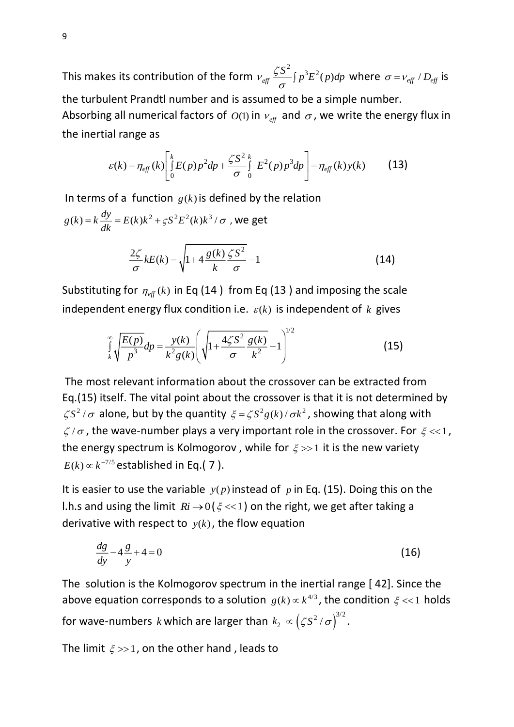This makes its contribution of the form  $v_{\text{eff}} \frac{\zeta S^2}{2} \int p^3 E^2(p) dp$  $\frac{\partial}{\partial \sigma} \int p^3 E^2(p) dp$  where  $\sigma = v_{\text{eff}} / D_{\text{eff}}$  is the turbulent Prandtl number and is assumed to be a simple number. Absorbing all numerical factors of  $O(1)$  in  $v_{\text{eff}}$  and  $\sigma$ , we write the energy flux in the inertial range as

$$
\varepsilon(k) = \eta_{eff}(k) \left[ \int_{0}^{k} E(p) p^2 dp + \frac{\zeta S^2}{\sigma} \int_{0}^{k} E^2(p) p^3 dp \right] = \eta_{eff}(k) y(k) \tag{13}
$$

In terms of a function  $g(k)$  is defined by the relation

$$
g(k) = k \frac{dy}{dk} = E(k)k^{2} + \zeta S^{2} E^{2}(k)k^{3} / \sigma, \text{ we get}
$$

$$
\frac{2\zeta}{\sigma} kE(k) = \sqrt{1 + 4 \frac{g(k)}{k} \frac{\zeta S^{2}}{\sigma}} - 1
$$
(14)

Substituting for  $\eta_{\text{eff}}(k)$  in Eq (14) from Eq (13) and imposing the scale independent energy flux condition i.e.  $\varepsilon(k)$  is independent of  $k$  gives

$$
\int_{k}^{\infty} \sqrt{\frac{E(p)}{p^3}} dp = \frac{y(k)}{k^2 g(k)} \left( \sqrt{1 + \frac{4\zeta S^2}{\sigma} \frac{g(k)}{k^2}} - 1 \right)^{1/2}
$$
(15)

The most relevant information about the crossover can be extracted from Eq.(15) itself. The vital point about the crossover is that it is not determined by  $\zeta S^2/\sigma$  alone, but by the quantity  $\zeta = \zeta S^2 g(k)/\sigma k^2$ , showing that along with  $\zeta/\sigma$ , the wave-number plays a very important role in the crossover. For  $\xi << 1$ , the energy spectrum is Kolmogorov, while for  $\xi \gg 1$  it is the new variety  $E(k) \propto k^{-7/5}$  established in Eq.( 7 ).

It is easier to use the variable  $y(p)$  instead of p in Eq. (15). Doing this on the l.h.s and using the limit  $R_i \rightarrow 0$  ( $\xi << 1$ ) on the right, we get after taking a derivative with respect to  $y(k)$ , the flow equation

$$
\frac{dg}{dy} - 4\frac{g}{y} + 4 = 0\tag{16}
$$

The solution is the Kolmogorov spectrum in the inertial range [ 42]. Since the above equation corresponds to a solution  $g(k) \propto k^{4/3}$ , the condition  $\xi \ll 1$  holds for wave-numbers *k* which are larger than  $k_2 \propto (\zeta S^2/\sigma)^{3/2}$ .

The limit  $\xi \gg 1$ , on the other hand, leads to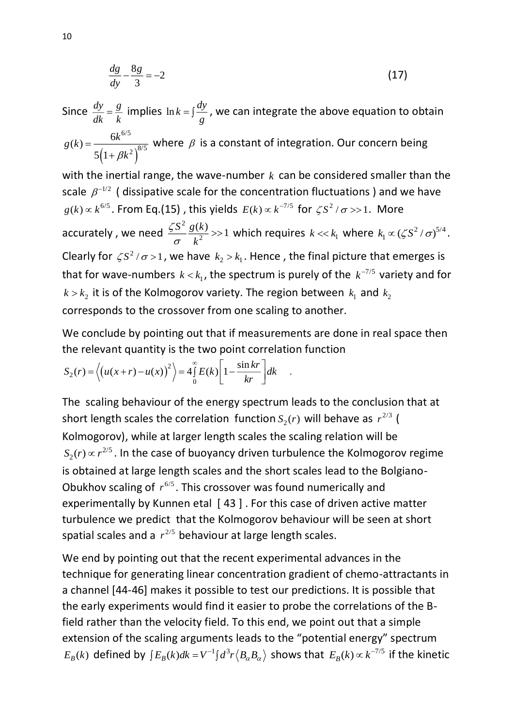$$
\frac{dg}{dy} - \frac{8g}{3} = -2\tag{17}
$$

Since  $\frac{dy}{y} = \frac{g}{y}$  $\frac{dy}{dk} = \frac{g}{k}$  implies  $\ln k = \int \frac{dy}{g}$ *g*  $=\int_{0}^{\infty}$ , we can integrate the above equation to obtain  $\left(1+\beta k^2\right)^{8}$ 6/5  $(2)^{8/5}$  $(k) = \frac{6}{100}$ 511  $g(k) = \frac{6k}{k}$ *k*  $=\frac{1}{5(1+1)}$ where  $\beta$  is a constant of integration. Our concern being with the inertial range, the wave-number  $k$  can be considered smaller than the scale  $\beta^{-1/2}$  (dissipative scale for the concentration fluctuations) and we have  $g(k) \propto k^{6/5}$ . From Eq.(15), this yields  $E(k) \propto k^{-7/5}$  for  $\zeta S^2 / \sigma >> 1$ . More accurately, we need  $\frac{\zeta S^2}{2}$  $\frac{S^2}{s^2} \frac{g(k)}{k^2} >> 1$ *k*  $\zeta$  $\sigma$  $>> 1$  which requires  $k << k_1$  where  $k_1 \propto \left(\zeta S^2/\sigma\right)^{5/4}$  $k_1 \propto (\zeta S^2/\sigma)^{5/4}$ . Clearly for  $\zeta S^2/\sigma > 1$ , we have  $k_2 > k_1$ . Hence, the final picture that emerges is that for wave-numbers  $k < k_1$ , the spectrum is purely of the  $k^{-7/5}$  variety and for  $k > k_2$  it is of the Kolmogorov variety. The region between  $k_1$  and  $k_2$ 

corresponds to the crossover from one scaling to another.

We conclude by pointing out that if measurements are done in real space then the relevant quantity is the two point correlation function

$$
S_2(r) = \left\langle \left( u(x+r) - u(x) \right)^2 \right\rangle = 4 \int_0^\infty E(k) \left[ 1 - \frac{\sin kr}{kr} \right] dk \quad .
$$

The scaling behaviour of the energy spectrum leads to the conclusion that at short length scales the correlation function  $S_2(r)$  will behave as  $r^{2/3}$  ( Kolmogorov), while at larger length scales the scaling relation will be 2/5  $S_2(r)$   $\propto$   $r^{2/5}$  . In the case of buoyancy driven turbulence the Kolmogorov regime is obtained at large length scales and the short scales lead to the Bolgiano-Obukhov scaling of  $r^{6/5}$ . This crossover was found numerically and experimentally by Kunnen etal [43]. For this case of driven active matter turbulence we predict that the Kolmogorov behaviour will be seen at short spatial scales and a  $r^{2/5}$  behaviour at large length scales.

We end by pointing out that the recent experimental advances in the technique for generating linear concentration gradient of chemo-attractants in a channel [44-46] makes it possible to test our predictions. It is possible that the early experiments would find it easier to probe the correlations of the Bfield rather than the velocity field. To this end, we point out that a simple extension of the scaling arguments leads to the "potential energy" spectrum  $E_B(k)$  defined by  $\int E_B(k)dk = V^{-1} \int d^3r \langle B_\alpha B_\alpha \rangle$  shows that  $E_B(k) \propto k^{-7/5}$  if the kinetic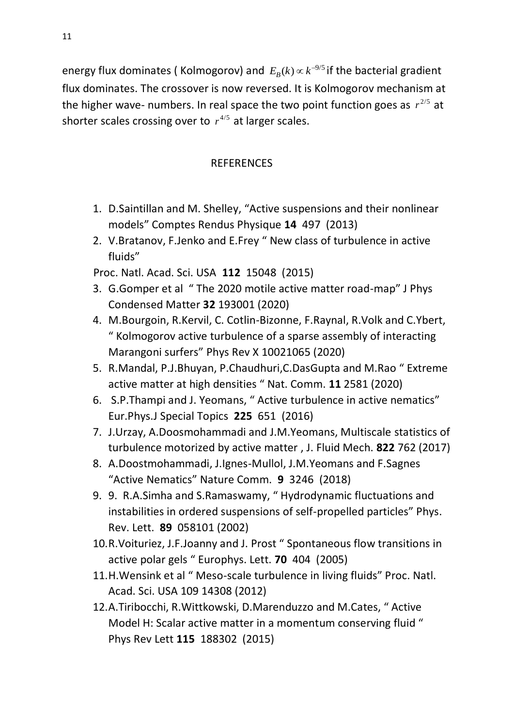energy flux dominates (Kolmogorov) and  $E_B(k) \propto k^{-9/5}$  if the bacterial gradient flux dominates. The crossover is now reversed. It is Kolmogorov mechanism at the higher wave- numbers. In real space the two point function goes as  $r^{2/5}$  at shorter scales crossing over to  $r^{4/5}$  at larger scales.

## REFERENCES

- 1. D.Saintillan and M. Shelley, "Active suspensions and their nonlinear models" Comptes Rendus Physique **14** 497 (2013)
- 2. V.Bratanov, F.Jenko and E.Frey " New class of turbulence in active fluids"

Proc. Natl. Acad. Sci. USA **112** 15048 (2015)

- 3. G.Gomper et al " The 2020 motile active matter road-map" J Phys Condensed Matter **32** 193001 (2020)
- 4. M.Bourgoin, R.Kervil, C. Cotlin-Bizonne, F.Raynal, R.Volk and C.Ybert, " Kolmogorov active turbulence of a sparse assembly of interacting Marangoni surfers" Phys Rev X 10021065 (2020)
- 5. R.Mandal, P.J.Bhuyan, P.Chaudhuri,C.DasGupta and M.Rao " Extreme active matter at high densities " Nat. Comm. **11** 2581 (2020)
- 6. S.P.Thampi and J. Yeomans, " Active turbulence in active nematics" Eur.Phys.J Special Topics **225** 651 (2016)
- 7. J.Urzay, A.Doosmohammadi and J.M.Yeomans, Multiscale statistics of turbulence motorized by active matter , J. Fluid Mech. **822** 762 (2017)
- 8. A.Doostmohammadi, J.Ignes-Mullol, J.M.Yeomans and F.Sagnes "Active Nematics" Nature Comm. **9** 3246 (2018)
- 9. 9. R.A.Simha and S.Ramaswamy, " Hydrodynamic fluctuations and instabilities in ordered suspensions of self-propelled particles" Phys. Rev. Lett. **89** 058101 (2002)
- 10.R.Voituriez, J.F.Joanny and J. Prost " Spontaneous flow transitions in active polar gels " Europhys. Lett. **70** 404 (2005)
- 11.H.Wensink et al " Meso-scale turbulence in living fluids" Proc. Natl. Acad. Sci. USA 109 14308 (2012)
- 12.A.Tiribocchi, R.Wittkowski, D.Marenduzzo and M.Cates, " Active Model H: Scalar active matter in a momentum conserving fluid " Phys Rev Lett **115** 188302 (2015)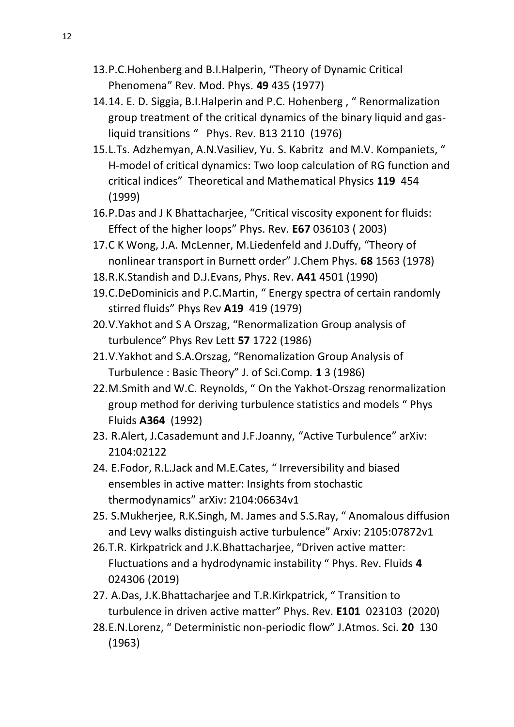- 13.P.C.Hohenberg and B.I.Halperin, "Theory of Dynamic Critical Phenomena" Rev. Mod. Phys. **49** 435 (1977)
- 14.14. E. D. Siggia, B.I.Halperin and P.C. Hohenberg , " Renormalization group treatment of the critical dynamics of the binary liquid and gasliquid transitions " Phys. Rev. B13 2110 (1976)
- 15.L.Ts. Adzhemyan, A.N.Vasiliev, Yu. S. Kabritz and M.V. Kompaniets, " H-model of critical dynamics: Two loop calculation of RG function and critical indices" Theoretical and Mathematical Physics **119** 454 (1999)
- 16.P.Das and J K Bhattacharjee, "Critical viscosity exponent for fluids: Effect of the higher loops" Phys. Rev. **E67** 036103 ( 2003)
- 17.C K Wong, J.A. McLenner, M.Liedenfeld and J.Duffy, "Theory of nonlinear transport in Burnett order" J.Chem Phys. **68** 1563 (1978)
- 18.R.K.Standish and D.J.Evans, Phys. Rev. **A41** 4501 (1990)
- 19.C.DeDominicis and P.C.Martin, " Energy spectra of certain randomly stirred fluids" Phys Rev **A19** 419 (1979)
- 20.V.Yakhot and S A Orszag, "Renormalization Group analysis of turbulence" Phys Rev Lett **57** 1722 (1986)
- 21.V.Yakhot and S.A.Orszag, "Renomalization Group Analysis of Turbulence : Basic Theory" J. of Sci.Comp. **1** 3 (1986)
- 22.M.Smith and W.C. Reynolds, " On the Yakhot-Orszag renormalization group method for deriving turbulence statistics and models " Phys Fluids **A364** (1992)
- 23. R.Alert, J.Casademunt and J.F.Joanny, "Active Turbulence" arXiv: 2104:02122
- 24. E.Fodor, R.L.Jack and M.E.Cates, " Irreversibility and biased ensembles in active matter: Insights from stochastic thermodynamics" arXiv: 2104:06634v1
- 25. S.Mukherjee, R.K.Singh, M. James and S.S.Ray, " Anomalous diffusion and Levy walks distinguish active turbulence" Arxiv: 2105:07872v1
- 26.T.R. Kirkpatrick and J.K.Bhattacharjee, "Driven active matter: Fluctuations and a hydrodynamic instability " Phys. Rev. Fluids **4** 024306 (2019)
- 27. A.Das, J.K.Bhattacharjee and T.R.Kirkpatrick, " Transition to turbulence in driven active matter" Phys. Rev. **E101** 023103 (2020)
- 28.E.N.Lorenz, " Deterministic non-periodic flow" J.Atmos. Sci. **20** 130 (1963)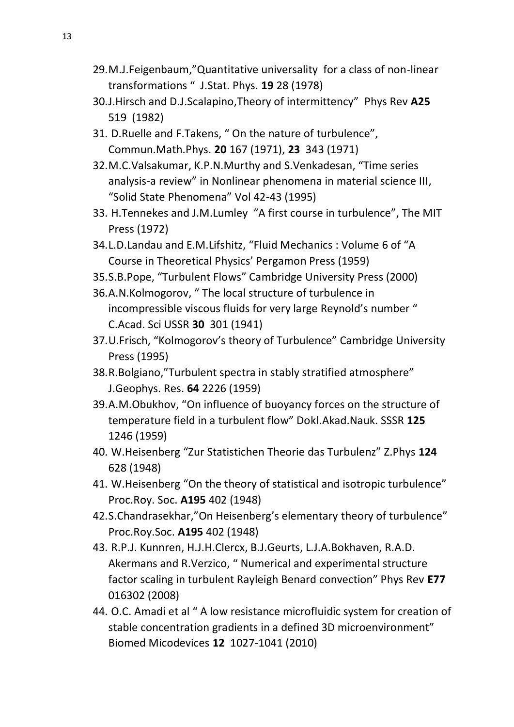- 29.M.J.Feigenbaum,"Quantitative universality for a class of non-linear transformations " J.Stat. Phys. **19** 28 (1978)
- 30.J.Hirsch and D.J.Scalapino,Theory of intermittency" Phys Rev **A25** 519 (1982)
- 31. D.Ruelle and F.Takens, " On the nature of turbulence", Commun.Math.Phys. **20** 167 (1971), **23** 343 (1971)
- 32.M.C.Valsakumar, K.P.N.Murthy and S.Venkadesan, "Time series analysis-a review" in Nonlinear phenomena in material science III, "Solid State Phenomena" Vol 42-43 (1995)
- 33. H.Tennekes and J.M.Lumley "A first course in turbulence", The MIT Press (1972)
- 34.L.D.Landau and E.M.Lifshitz, "Fluid Mechanics : Volume 6 of "A Course in Theoretical Physics' Pergamon Press (1959)
- 35.S.B.Pope, "Turbulent Flows" Cambridge University Press (2000)
- 36.A.N.Kolmogorov, " The local structure of turbulence in incompressible viscous fluids for very large Reynold's number " C.Acad. Sci USSR **30** 301 (1941)
- 37.U.Frisch, "Kolmogorov's theory of Turbulence" Cambridge University Press (1995)
- 38.R.Bolgiano,"Turbulent spectra in stably stratified atmosphere" J.Geophys. Res. **64** 2226 (1959)
- 39.A.M.Obukhov, "On influence of buoyancy forces on the structure of temperature field in a turbulent flow" Dokl.Akad.Nauk. SSSR **125** 1246 (1959)
- 40. W.Heisenberg "Zur Statistichen Theorie das Turbulenz" Z.Phys **124**  628 (1948)
- 41. W.Heisenberg "On the theory of statistical and isotropic turbulence" Proc.Roy. Soc. **A195** 402 (1948)
- 42.S.Chandrasekhar,"On Heisenberg's elementary theory of turbulence" Proc.Roy.Soc. **A195** 402 (1948)
- 43. R.P.J. Kunnren, H.J.H.Clercx, B.J.Geurts, L.J.A.Bokhaven, R.A.D. Akermans and R.Verzico, " Numerical and experimental structure factor scaling in turbulent Rayleigh Benard convection" Phys Rev **E77**  016302 (2008)
- 44. O.C. Amadi et al " A low resistance microfluidic system for creation of stable concentration gradients in a defined 3D microenvironment" Biomed Micodevices **12** 1027-1041 (2010)